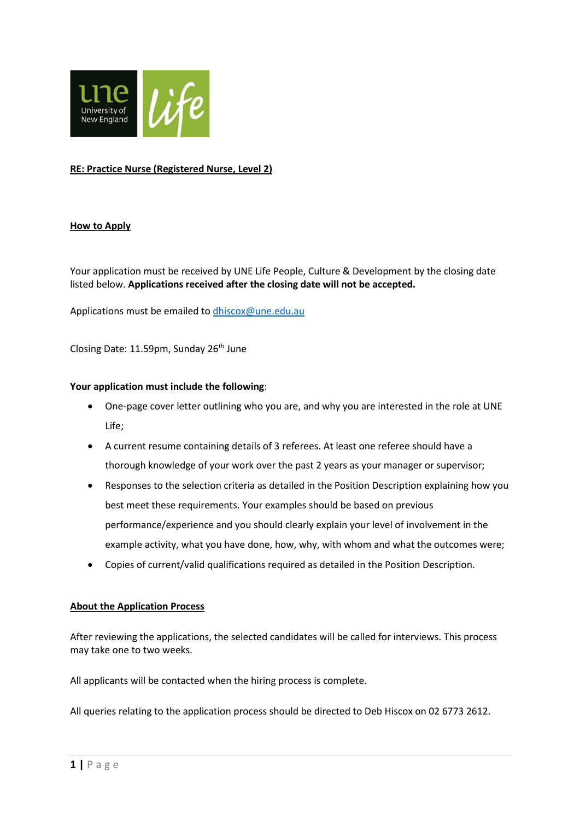

## **RE: Practice Nurse (Registered Nurse, Level 2)**

### **How to Apply**

Your application must be received by UNE Life People, Culture & Development by the closing date listed below. **Applications received after the closing date will not be accepted.**

Applications must be emailed t[o dhiscox@une.edu.au](mailto:dhiscox@une.edu.au)

Closing Date: 11.59pm, Sunday 26th June

### **Your application must include the following**:

- One-page cover letter outlining who you are, and why you are interested in the role at UNE Life;
- A current resume containing details of 3 referees. At least one referee should have a thorough knowledge of your work over the past 2 years as your manager or supervisor;
- Responses to the selection criteria as detailed in the Position Description explaining how you best meet these requirements. Your examples should be based on previous performance/experience and you should clearly explain your level of involvement in the example activity, what you have done, how, why, with whom and what the outcomes were;
- Copies of current/valid qualifications required as detailed in the Position Description.

### **About the Application Process**

After reviewing the applications, the selected candidates will be called for interviews. This process may take one to two weeks.

All applicants will be contacted when the hiring process is complete.

All queries relating to the application process should be directed to Deb Hiscox on 02 6773 2612.